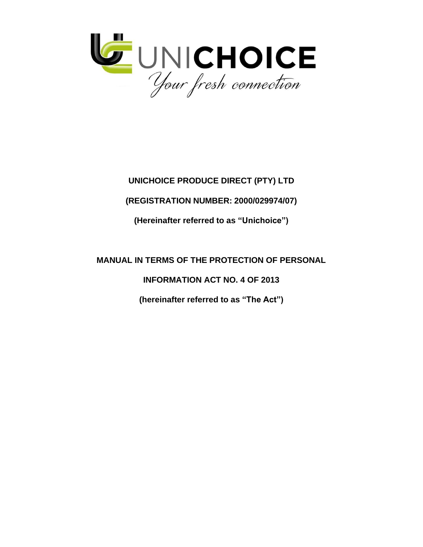

# **UNICHOICE PRODUCE DIRECT (PTY) LTD**

# **(REGISTRATION NUMBER: 2000/029974/07)**

**(Hereinafter referred to as "Unichoice")**

# **MANUAL IN TERMS OF THE PROTECTION OF PERSONAL**

**INFORMATION ACT NO. 4 OF 2013**

**(hereinafter referred to as "The Act")**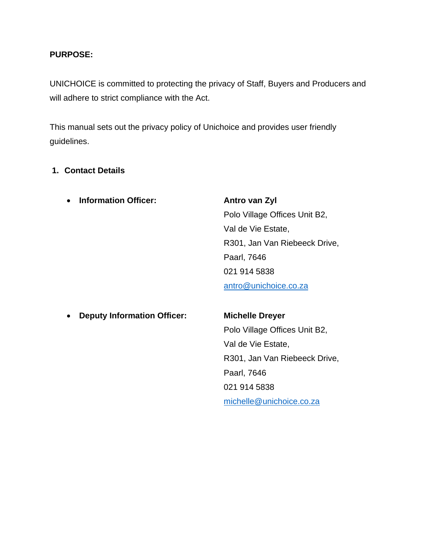#### **PURPOSE:**

UNICHOICE is committed to protecting the privacy of Staff, Buyers and Producers and will adhere to strict compliance with the Act.

This manual sets out the privacy policy of Unichoice and provides user friendly guidelines.

#### **1. Contact Details**

• **Information Officer: Antro van Zyl**

Polo Village Offices Unit B2, Val de Vie Estate, R301, Jan Van Riebeeck Drive, Paarl, 7646 021 914 5838 [antro@unichoice.co.za](mailto:antro@unichoice.co.za)

• **Deputy Information Officer: Michelle Dreyer**

Polo Village Offices Unit B2, Val de Vie Estate, R301, Jan Van Riebeeck Drive, Paarl, 7646 021 914 5838 [michelle@unichoice.co.za](mailto:michelle@unichoice.co.za)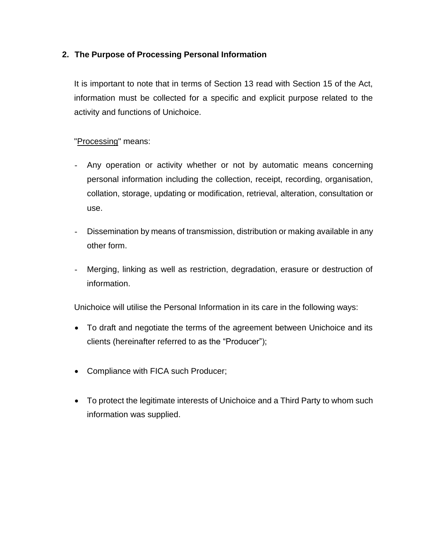## **2. The Purpose of Processing Personal Information**

It is important to note that in terms of Section 13 read with Section 15 of the Act, information must be collected for a specific and explicit purpose related to the activity and functions of Unichoice.

## "Processing" means:

- Any operation or activity whether or not by automatic means concerning personal information including the collection, receipt, recording, organisation, collation, storage, updating or modification, retrieval, alteration, consultation or use.
- Dissemination by means of transmission, distribution or making available in any other form.
- Merging, linking as well as restriction, degradation, erasure or destruction of information.

Unichoice will utilise the Personal Information in its care in the following ways:

- To draft and negotiate the terms of the agreement between Unichoice and its clients (hereinafter referred to as the "Producer");
- Compliance with FICA such Producer;
- To protect the legitimate interests of Unichoice and a Third Party to whom such information was supplied.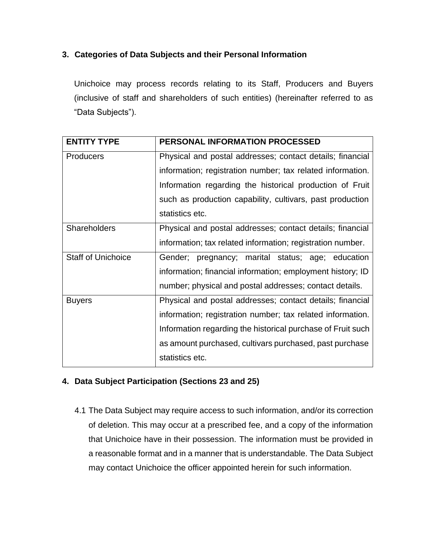## **3. Categories of Data Subjects and their Personal Information**

Unichoice may process records relating to its Staff, Producers and Buyers (inclusive of staff and shareholders of such entities) (hereinafter referred to as "Data Subjects").

| <b>ENTITY TYPE</b>        | PERSONAL INFORMATION PROCESSED                              |
|---------------------------|-------------------------------------------------------------|
| <b>Producers</b>          | Physical and postal addresses; contact details; financial   |
|                           | information; registration number; tax related information.  |
|                           | Information regarding the historical production of Fruit    |
|                           | such as production capability, cultivars, past production   |
|                           | statistics etc.                                             |
| <b>Shareholders</b>       | Physical and postal addresses; contact details; financial   |
|                           | information; tax related information; registration number.  |
| <b>Staff of Unichoice</b> | Gender; pregnancy; marital status; age; education           |
|                           | information; financial information; employment history; ID  |
|                           | number; physical and postal addresses; contact details.     |
| <b>Buyers</b>             | Physical and postal addresses; contact details; financial   |
|                           | information; registration number; tax related information.  |
|                           | Information regarding the historical purchase of Fruit such |
|                           | as amount purchased, cultivars purchased, past purchase     |
|                           | statistics etc.                                             |

## **4. Data Subject Participation (Sections 23 and 25)**

4.1 The Data Subject may require access to such information, and/or its correction of deletion. This may occur at a prescribed fee, and a copy of the information that Unichoice have in their possession. The information must be provided in a reasonable format and in a manner that is understandable. The Data Subject may contact Unichoice the officer appointed herein for such information.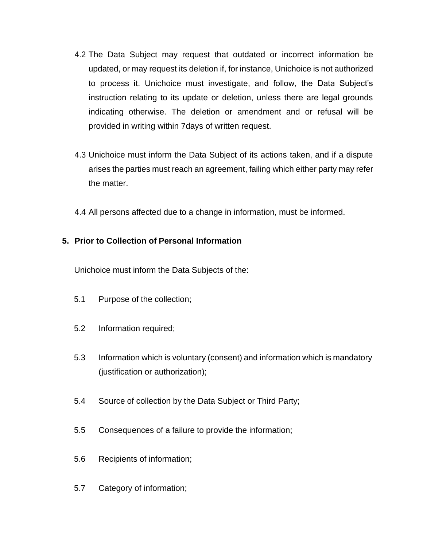- 4.2 The Data Subject may request that outdated or incorrect information be updated, or may request its deletion if, for instance, Unichoice is not authorized to process it. Unichoice must investigate, and follow, the Data Subject's instruction relating to its update or deletion, unless there are legal grounds indicating otherwise. The deletion or amendment and or refusal will be provided in writing within 7days of written request.
- 4.3 Unichoice must inform the Data Subject of its actions taken, and if a dispute arises the parties must reach an agreement, failing which either party may refer the matter.
- 4.4 All persons affected due to a change in information, must be informed.

## **5. Prior to Collection of Personal Information**

Unichoice must inform the Data Subjects of the:

- 5.1 Purpose of the collection;
- 5.2 Information required;
- 5.3 Information which is voluntary (consent) and information which is mandatory (justification or authorization);
- 5.4 Source of collection by the Data Subject or Third Party;
- 5.5 Consequences of a failure to provide the information;
- 5.6 Recipients of information;
- 5.7 Category of information;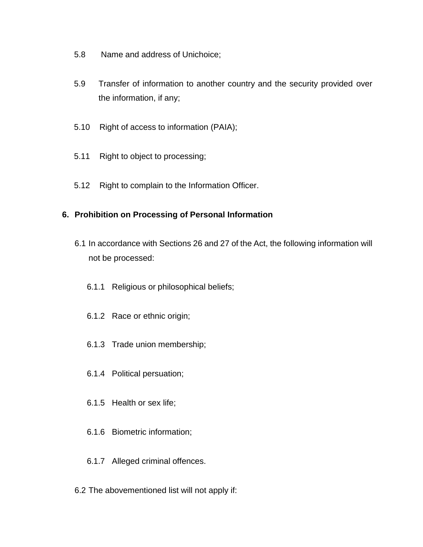- 5.8 Name and address of Unichoice;
- 5.9 Transfer of information to another country and the security provided over the information, if any;
- 5.10 Right of access to information (PAIA);
- 5.11 Right to object to processing;
- 5.12 Right to complain to the Information Officer.

#### **6. Prohibition on Processing of Personal Information**

- 6.1 In accordance with Sections 26 and 27 of the Act, the following information will not be processed:
	- 6.1.1 Religious or philosophical beliefs;
	- 6.1.2 Race or ethnic origin;
	- 6.1.3 Trade union membership;
	- 6.1.4 Political persuation;
	- 6.1.5 Health or sex life;
	- 6.1.6 Biometric information;
	- 6.1.7 Alleged criminal offences.
- 6.2 The abovementioned list will not apply if: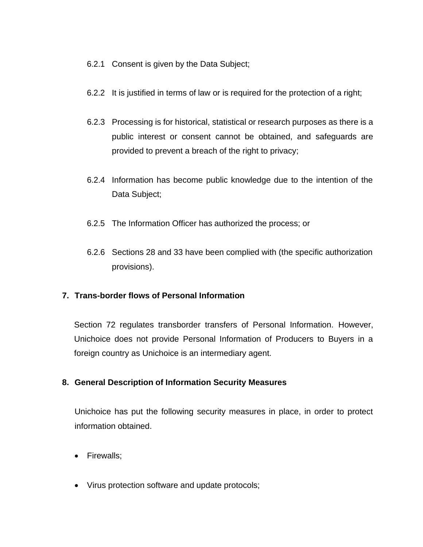- 6.2.1 Consent is given by the Data Subject;
- 6.2.2 It is justified in terms of law or is required for the protection of a right;
- 6.2.3 Processing is for historical, statistical or research purposes as there is a public interest or consent cannot be obtained, and safeguards are provided to prevent a breach of the right to privacy;
- 6.2.4 Information has become public knowledge due to the intention of the Data Subject;
- 6.2.5 The Information Officer has authorized the process; or
- 6.2.6 Sections 28 and 33 have been complied with (the specific authorization provisions).

## **7. Trans-border flows of Personal Information**

Section 72 regulates transborder transfers of Personal Information. However, Unichoice does not provide Personal Information of Producers to Buyers in a foreign country as Unichoice is an intermediary agent.

#### **8. General Description of Information Security Measures**

Unichoice has put the following security measures in place, in order to protect information obtained.

- Firewalls;
- Virus protection software and update protocols;